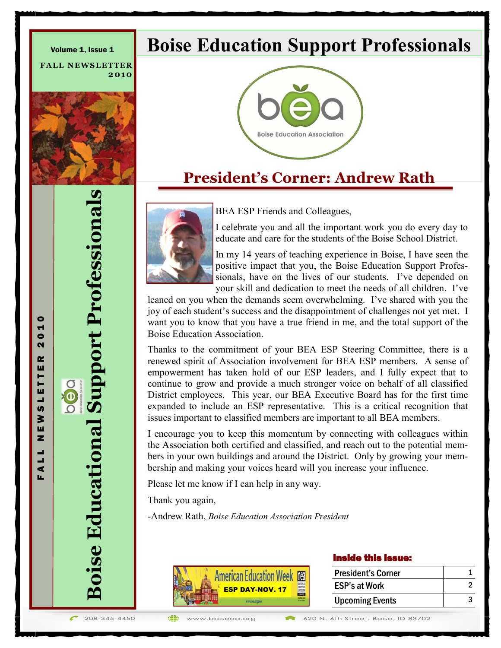**FALL NEWSLETTER 2 0 1 0**



# **Boise Educational Support Professionals Boise Educational Support Professionals**

F A L L N E W S L E T T E R 2 0 1 0

L.  $\blacktriangleleft$ 

 $\bullet$ H  $\bullet$  $\mathbf{\tilde{N}}$ œ ш  $\mathsf{F}$ Îш  $\frac{1}{9}$ ≩ ш z

# **Boise Education Support Professionals**



## **President's Corner: Andrew Rath**



BEA ESP Friends and Colleagues,

I celebrate you and all the important work you do every day to educate and care for the students of the Boise School District.

In my 14 years of teaching experience in Boise, I have seen the positive impact that you, the Boise Education Support Professionals, have on the lives of our students. I've depended on your skill and dedication to meet the needs of all children. I've

leaned on you when the demands seem overwhelming. I've shared with you the joy of each student's success and the disappointment of challenges not yet met. I want you to know that you have a true friend in me, and the total support of the Boise Education Association.

Thanks to the commitment of your BEA ESP Steering Committee, there is a renewed spirit of Association involvement for BEA ESP members. A sense of empowerment has taken hold of our ESP leaders, and I fully expect that to continue to grow and provide a much stronger voice on behalf of all classified District employees. This year, our BEA Executive Board has for the first time expanded to include an ESP representative. This is a critical recognition that issues important to classified members are important to all BEA members.

I encourage you to keep this momentum by connecting with colleagues within the Association both certified and classified, and reach out to the potential members in your own buildings and around the District. Only by growing your membership and making your voices heard will you increase your influence.

Please let me know if I can help in any way.

Thank you again,

-Andrew Rath, *Boise Education Association President*



### Inside this issue:

| <b>President's Corner</b> |  |
|---------------------------|--|
| <b>ESP's at Work</b>      |  |
| <b>Upcoming Events</b>    |  |

 $\bigoplus$ www.boiseeg.org 620 N. 6th Street, Boise, ID 83702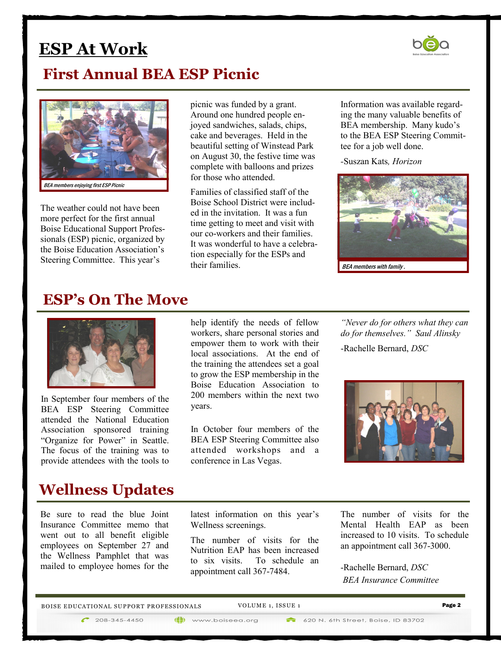## **ESP At Work**

### **First Annual BEA ESP Picnic**



The weather could not have been more perfect for the first annual Boise Educational Support Professionals (ESP) picnic, organized by the Boise Education Association's Steering Committee. This year's

picnic was funded by a grant. Around one hundred people enjoyed sandwiches, salads, chips, cake and beverages. Held in the beautiful setting of Winstead Park on August 30, the festive time was complete with balloons and prizes for those who attended.

Families of classified staff of the Boise School District were included in the invitation. It was a fun time getting to meet and visit with our co-workers and their families. It was wonderful to have a celebration especially for the ESPs and their families.

Information was available regarding the many valuable benefits of BEA membership. Many kudo's to the BEA ESP Steering Committee for a job well done.

*-*Suszan Kats*, Horizon* 



### **ESP's On The Move**



In September four members of the BEA ESP Steering Committee attended the National Education Association sponsored training "Organize for Power" in Seattle. The focus of the training was to provide attendees with the tools to

### **Wellness Updates**

Be sure to read the blue Joint Insurance Committee memo that went out to all benefit eligible employees on September 27 and the Wellness Pamphlet that was mailed to employee homes for the

help identify the needs of fellow workers, share personal stories and empower them to work with their local associations. At the end of the training the attendees set a goal to grow the ESP membership in the Boise Education Association to 200 members within the next two years.

In October four members of the BEA ESP Steering Committee also attended workshops and a conference in Las Vegas.

*"Never do for others what they can do for themselves." Saul Alinsky*

-Rachelle Bernard, *DSC* 



latest information on this year's Wellness screenings.

The number of visits for the Nutrition EAP has been increased to six visits. To schedule an appointment call 367-7484.

The number of visits for the Mental Health EAP as been increased to 10 visits. To schedule an appointment call 367-3000.

-Rachelle Bernard, *DSC BEA Insurance Committee*

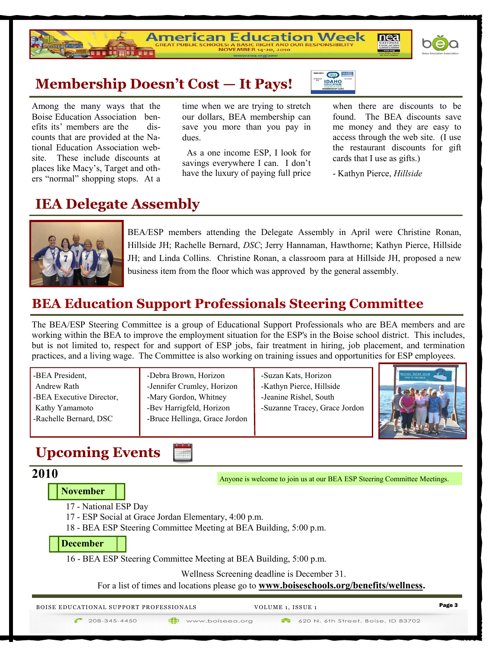

**Membership Doesn't Cost — It Pays!**<br>Among the many ways that the time when we are trying to stre<br>Boise Education Association ben-<br>efits its' members are the dis-<br>counts that are provided at the Na-<br>tional Education Associ Among the many ways that the Boise Education Association benefits its' members are the discounts that are provided at the National Education Association website. These include discounts at places like Macy's, Target and others "normal" shopping stops. At a

time when we are trying to stretch our dollars, BEA membership can save you more than you pay in dues.

American Education Week

 As a one income ESP, I look for savings everywhere I can. I don't have the luxury of paying full price

when there are discounts to be found. The BEA discounts save me money and they are easy to access through the web site. (I use the restaurant discounts for gift cards that I use as gifts.)

nea

tidea nea **DAHO** 

- Kathyn Pierce, *Hillside* 

### **IEA Delegate Assembly**



BEA/ESP members attending the Delegate Assembly in April were Christine Ronan, Hillside JH; Rachelle Bernard, *DSC*; Jerry Hannaman, Hawthorne; Kathyn Pierce, Hillside JH; and Linda Collins. Christine Ronan, a classroom para at Hillside JH, proposed a new business item from the floor which was approved by the general assembly.

### **BEA Education Support Professionals Steering Committee**

The BEA/ESP Steering Committee is a group of Educational Support Professionals who are BEA members and are working within the BEA to improve the employment situation for the ESP's in the Boise school district. This includes, but is not limited to, respect for and support of ESP jobs, fair treatment in hiring, job placement, and termination practices, and a living wage. The Committee is also working on training issues and opportunities for ESP employees.

| -BEA President,          | -Debra Brown, Horizon         | -Suzan Kats, Horizon          | <b>ACCALL YACHT CLUB</b><br>OPEN TO THE PUBLIC |
|--------------------------|-------------------------------|-------------------------------|------------------------------------------------|
| Andrew Rath              | -Jennifer Crumley, Horizon    | -Kathyn Pierce, Hillside      |                                                |
| -BEA Executive Director, | -Mary Gordon, Whitney         | -Jeanine Rishel, South        |                                                |
| Kathy Yamamoto           | -Bev Harrigfeld, Horizon      | -Suzanne Tracey, Grace Jordon |                                                |
| -Rachelle Bernard, DSC   | -Bruce Hellinga, Grace Jordon |                               |                                                |
|                          |                               |                               |                                                |

### **Upcoming Events**

### **2010**

**November**

17 - National ESP Day

17 - ESP Social at Grace Jordan Elementary, 4:00 p.m.

أتلفز

18 - BEA ESP Steering Committee Meeting at BEA Building, 5:00 p.m.

**December**

16 - BEA ESP Steering Committee Meeting at BEA Building, 5:00 p.m.

(iii) www.boiseea.org

Wellness Screening deadline is December 31.

For a list of times and locations please go to **www.boiseschools.org/benefits/wellness.**

V OLU ME 1, ISS UE 1 Page 3 B OISE E DU CA TI ONAL SUPPORT PR OFESS IONA LS

Anyone is welcome to join us at our BEA ESP Steering Committee Meetings.